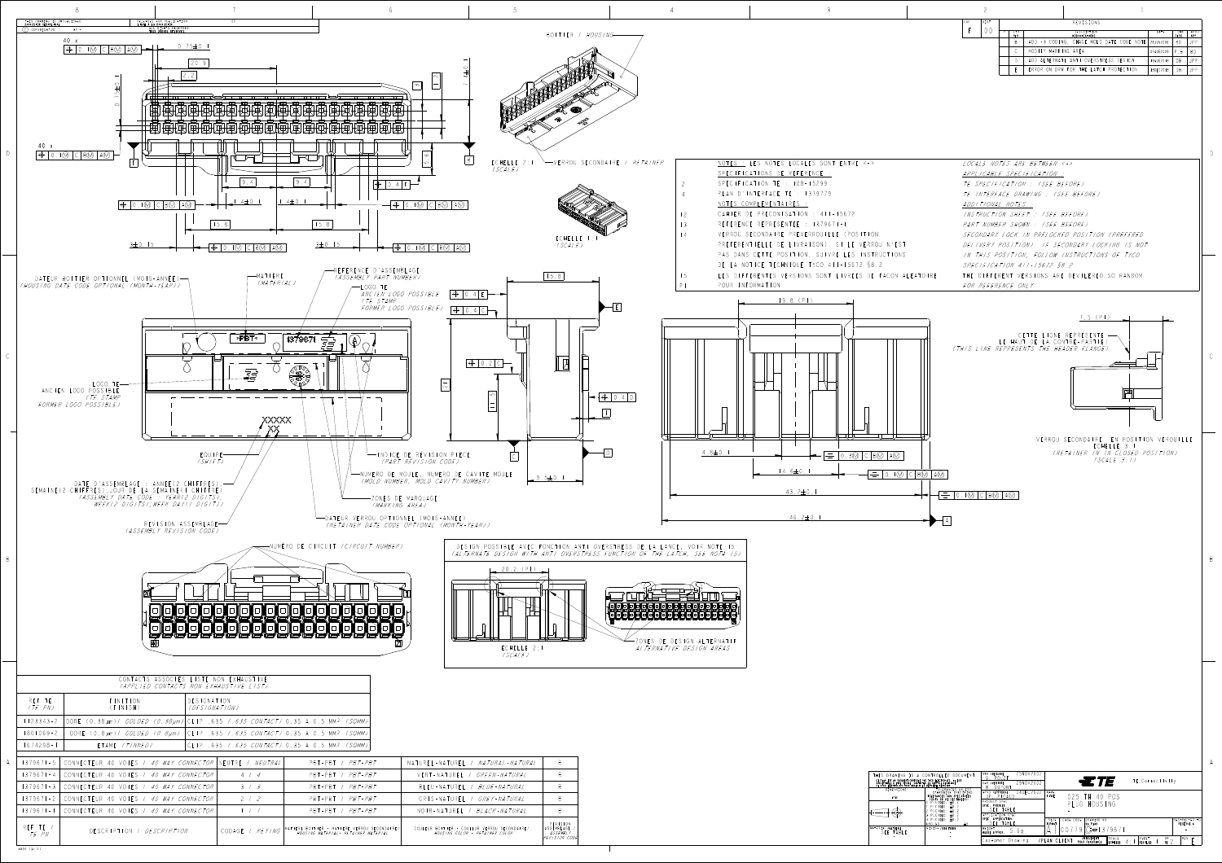4805 (3/11)

| 'L <i>' NATURAL-NATURAL</i>                               |                                                              |
|-----------------------------------------------------------|--------------------------------------------------------------|
| L <i>I GREEN-NATURAL</i>                                  |                                                              |
| 'L <i>I BLUE-NATURAL</i>                                  |                                                              |
| 'L / GREY-NATURAL                                         |                                                              |
| BIACK-NATURAI                                             |                                                              |
| COULEUR VERROU SECONDAIRE/<br><i>LOR - RETAINER COLOR</i> | <b>REVISION</b><br>ASSEMBLAGE /<br>ASSEMBLY<br>REVISION CODE |



| CONTROLLED DOCUMENT.<br>PAR TYCO ELECTRONICS. IL EST<br>CTER LE SERVICE TECHNIQUE<br>LA DERNIERE REVISION.                                                                          | 25NOV2002<br>DWN /DESSINE<br>G. ROUZE<br>29NOV2002<br>CHK /VERIFIE                                                       | <b>27</b> E<br>TE Connectivity                                                                                                       |                                     |
|-------------------------------------------------------------------------------------------------------------------------------------------------------------------------------------|--------------------------------------------------------------------------------------------------------------------------|--------------------------------------------------------------------------------------------------------------------------------------|-------------------------------------|
| TOLERANCES UNLESS<br>OTHERWISE SPECIFIED:<br>TOLERANCES NON SPECIFIEES<br>(SUIV NB DE DECIMALES):<br>IO PLC/DEC: ±0.2<br>PLC/DEC: ±0.2<br>2 PLC/DEC: ±0.2<br>$3$ PLC/DEC: $\pm 0.2$ | B. DUPONT<br>04DEC2002<br>APVD /APPROUVE<br>JP. PICAUD<br>PRODUCT SPEC<br>SPEC. PRODUIT<br>SEE TABLE<br>APPLICATION SPEC | NAME<br>TITRE<br>PLUG HOUSING                                                                                                        |                                     |
| 14 PLC/DEC: ±0.2<br>IANGLES<br>$+$                                                                                                                                                  | SPEC. APPLICATION<br>SEE TABLE                                                                                           | SIZE<br>CAGE CODE<br>DRAWING NO<br><b>FORMAT</b><br>No PLAN                                                                          | IRESTRICTED TO!<br><b>RESERVE A</b> |
| <b>FINISH /FINITION</b>                                                                                                                                                             | WEIGHT<br>b.ba<br>MASSE APPROX.                                                                                          | '9671                                                                                                                                |                                     |
|                                                                                                                                                                                     | 'PI<br>ICustomer Drawina                                                                                                 | UNIQUEMENT<br>SCALE<br>SHEET<br>0F<br> FN <br>AN CI<br>$\Lambda$ .<br>DOUD DEFEDENCE<br>l nounce n<br><b>COULD F</b><br>$\mathbf{r}$ | RE V                                |

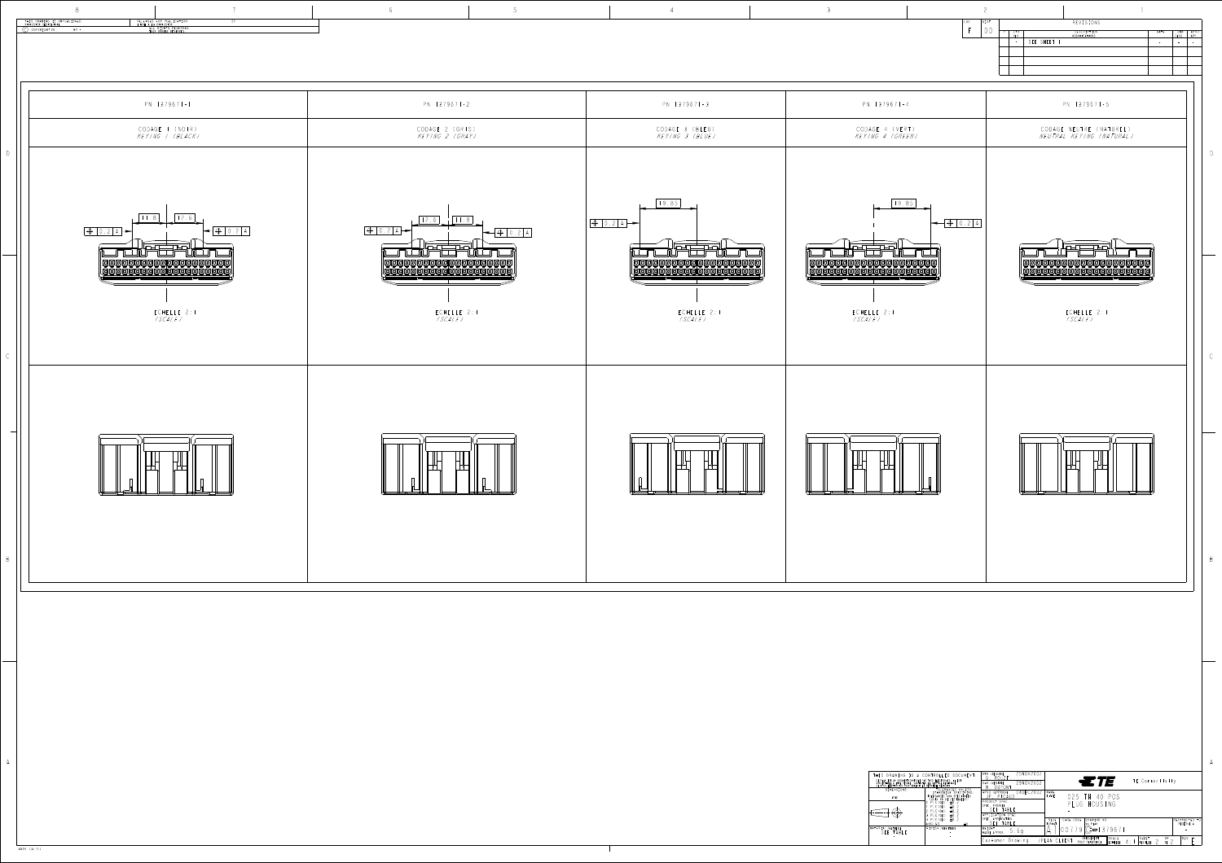4805 (3/11)

| THIS DRAWING IS A                                                                                         |
|-----------------------------------------------------------------------------------------------------------|
| CE PLAN EST UN DOCUMENT CONTROLE<br>SUSCEPTIBLE D'ETRE REVISE. CONTAG<br>DE TYCO ELECTRONICS POUR OBTENIR |
| DIMENSIONS:                                                                                               |
| mm                                                                                                        |
|                                                                                                           |
| MATERIAL / MATIERE<br>SFF TABLE                                                                           |